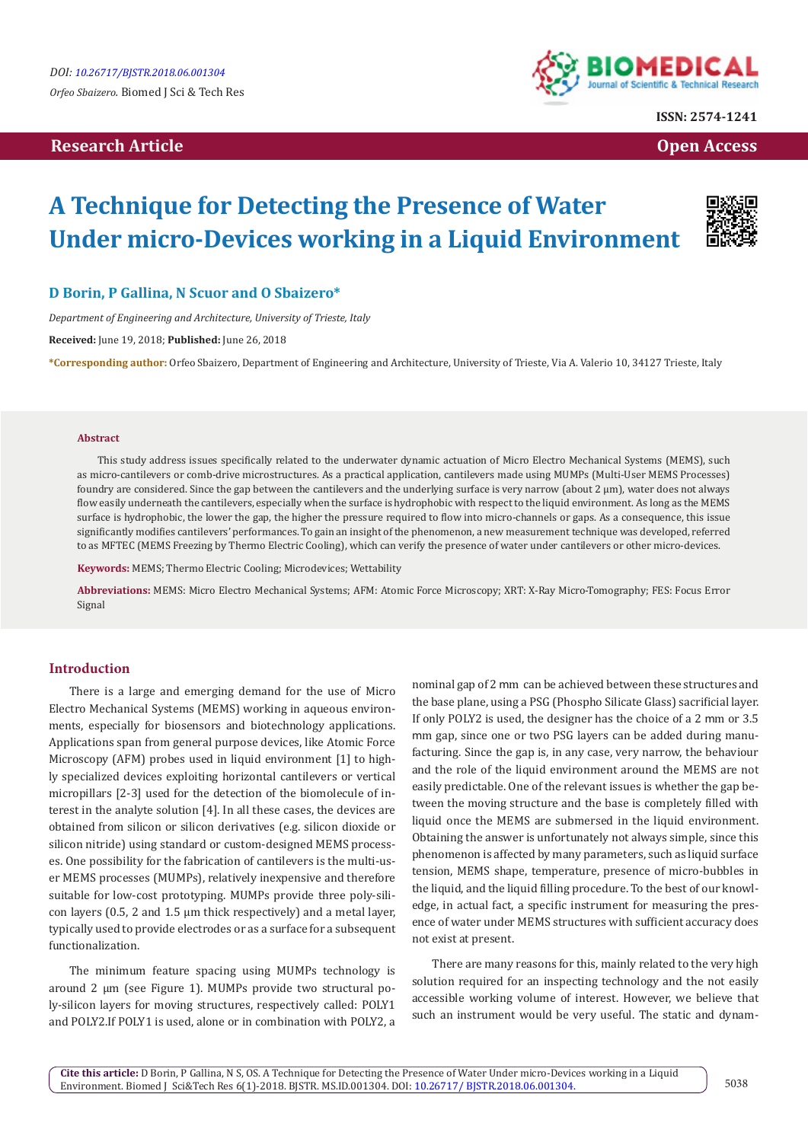# **Research Article Open Access Contract Article Open Access Open Access Open Access**



**ISSN: 2574-1241**

# **A Technique for Detecting the Presence of Water Under micro-Devices working in a Liquid Environment**



# **D Borin, P Gallina, N Scuor and O Sbaizero\***

*Department of Engineering and Architecture, University of Trieste, Italy*

**Received:** June 19, 2018; **Published:** June 26, 2018

**\*Corresponding author:** Orfeo Sbaizero, Department of Engineering and Architecture, University of Trieste, Via A. Valerio 10, 34127 Trieste, Italy

#### **Abstract**

This study address issues specifically related to the underwater dynamic actuation of Micro Electro Mechanical Systems (MEMS), such as micro-cantilevers or comb-drive microstructures. As a practical application, cantilevers made using MUMPs (Multi-User MEMS Processes) foundry are considered. Since the gap between the cantilevers and the underlying surface is very narrow (about 2 μm), water does not always flow easily underneath the cantilevers, especially when the surface is hydrophobic with respect to the liquid environment. As long as the MEMS surface is hydrophobic, the lower the gap, the higher the pressure required to flow into micro-channels or gaps. As a consequence, this issue significantly modifies cantilevers' performances. To gain an insight of the phenomenon, a new measurement technique was developed, referred to as MFTEC (MEMS Freezing by Thermo Electric Cooling), which can verify the presence of water under cantilevers or other micro-devices.

**Keywords:** MEMS; Thermo Electric Cooling; Microdevices; Wettability

**Abbreviations:** MEMS: Micro Electro Mechanical Systems; AFM: Atomic Force Microscopy; XRT: X-Ray Micro-Tomography; FES: Focus Error Signal

## **Introduction**

There is a large and emerging demand for the use of Micro Electro Mechanical Systems (MEMS) working in aqueous environments, especially for biosensors and biotechnology applications. Applications span from general purpose devices, like Atomic Force Microscopy (AFM) probes used in liquid environment [1] to highly specialized devices exploiting horizontal cantilevers or vertical micropillars [2-3] used for the detection of the biomolecule of interest in the analyte solution [4]. In all these cases, the devices are obtained from silicon or silicon derivatives (e.g. silicon dioxide or silicon nitride) using standard or custom-designed MEMS processes. One possibility for the fabrication of cantilevers is the multi-user MEMS processes (MUMPs), relatively inexpensive and therefore suitable for low-cost prototyping. MUMPs provide three poly-silicon layers (0.5, 2 and 1.5 μm thick respectively) and a metal layer, typically used to provide electrodes or as a surface for a subsequent functionalization.

The minimum feature spacing using MUMPs technology is around 2 μm (see Figure 1). MUMPs provide two structural poly-silicon layers for moving structures, respectively called: POLY1 and POLY2.If POLY1 is used, alone or in combination with POLY2, a

nominal gap of 2 mm can be achieved between these structures and the base plane, using a PSG (Phospho Silicate Glass) sacrificial layer. If only POLY2 is used, the designer has the choice of a 2 mm or 3.5 mm gap, since one or two PSG layers can be added during manufacturing. Since the gap is, in any case, very narrow, the behaviour and the role of the liquid environment around the MEMS are not easily predictable. One of the relevant issues is whether the gap between the moving structure and the base is completely filled with liquid once the MEMS are submersed in the liquid environment. Obtaining the answer is unfortunately not always simple, since this phenomenon is affected by many parameters, such as liquid surface tension, MEMS shape, temperature, presence of micro-bubbles in the liquid, and the liquid filling procedure. To the best of our knowledge, in actual fact, a specific instrument for measuring the presence of water under MEMS structures with sufficient accuracy does not exist at present.

There are many reasons for this, mainly related to the very high solution required for an inspecting technology and the not easily accessible working volume of interest. However, we believe that such an instrument would be very useful. The static and dynam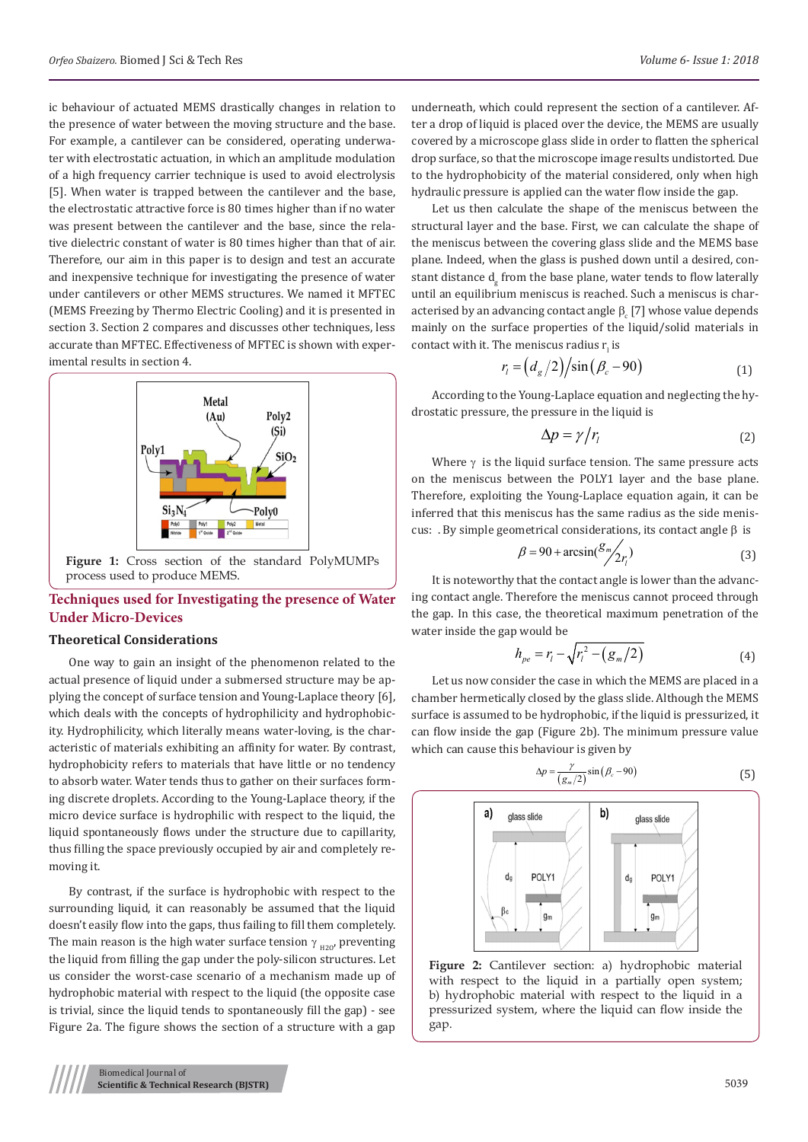ic behaviour of actuated MEMS drastically changes in relation to the presence of water between the moving structure and the base. For example, a cantilever can be considered, operating underwater with electrostatic actuation, in which an amplitude modulation of a high frequency carrier technique is used to avoid electrolysis [5]. When water is trapped between the cantilever and the base, the electrostatic attractive force is 80 times higher than if no water was present between the cantilever and the base, since the relative dielectric constant of water is 80 times higher than that of air. Therefore, our aim in this paper is to design and test an accurate and inexpensive technique for investigating the presence of water under cantilevers or other MEMS structures. We named it MFTEC (MEMS Freezing by Thermo Electric Cooling) and it is presented in section 3. Section 2 compares and discusses other techniques, less accurate than MFTEC. Effectiveness of MFTEC is shown with experimental results in section 4.



# **Techniques used for Investigating the presence of Water Under Micro-Devices**

#### **Theoretical Considerations**

One way to gain an insight of the phenomenon related to the actual presence of liquid under a submersed structure may be applying the concept of surface tension and Young-Laplace theory [6], which deals with the concepts of hydrophilicity and hydrophobicity. Hydrophilicity, which literally means water-loving, is the characteristic of materials exhibiting an affinity for water. By contrast, hydrophobicity refers to materials that have little or no tendency to absorb water. Water tends thus to gather on their surfaces forming discrete droplets. According to the Young-Laplace theory, if the micro device surface is hydrophilic with respect to the liquid, the liquid spontaneously flows under the structure due to capillarity, thus filling the space previously occupied by air and completely removing it.

By contrast, if the surface is hydrophobic with respect to the surrounding liquid, it can reasonably be assumed that the liquid doesn't easily flow into the gaps, thus failing to fill them completely. The main reason is the high water surface tension  $\gamma_{H20}$ , preventing the liquid from filling the gap under the poly-silicon structures. Let us consider the worst-case scenario of a mechanism made up of hydrophobic material with respect to the liquid (the opposite case is trivial, since the liquid tends to spontaneously fill the gap) - see Figure 2a. The figure shows the section of a structure with a gap

underneath, which could represent the section of a cantilever. After a drop of liquid is placed over the device, the MEMS are usually covered by a microscope glass slide in order to flatten the spherical drop surface, so that the microscope image results undistorted. Due to the hydrophobicity of the material considered, only when high hydraulic pressure is applied can the water flow inside the gap.

Let us then calculate the shape of the meniscus between the structural layer and the base. First, we can calculate the shape of the meniscus between the covering glass slide and the MEMS base plane. Indeed, when the glass is pushed down until a desired, constant distance d<sub>g</sub> from the base plane, water tends to flow laterally until an equilibrium meniscus is reached. Such a meniscus is characterised by an advancing contact angle  $\beta_{\rm c}$  [7] whose value depends mainly on the surface properties of the liquid/solid materials in contact with it. The meniscus radius  $r_i$  is

$$
r_i = \left(d_g/2\right) \sin\left(\beta_c - 90\right) \tag{1}
$$

According to the Young-Laplace equation and neglecting the hydrostatic pressure, the pressure in the liquid is

$$
\Delta p = \gamma / r_i \tag{2}
$$

Where  $\gamma$  is the liquid surface tension. The same pressure acts on the meniscus between the POLY1 layer and the base plane. Therefore, exploiting the Young-Laplace equation again, it can be inferred that this meniscus has the same radius as the side meniscus: . By simple geometrical considerations, its contact angle  $\beta$  is

$$
\beta = 90 + \arcsin\left(\frac{S_m}{2r}\right)
$$
 (3)

It is noteworthy that the contact angle is lower than the advancing contact angle. Therefore the meniscus cannot proceed through the gap. In this case, the theoretical maximum penetration of the water inside the gap would be

$$
h_{pe} = r_l - \sqrt{r_l^2 - (g_m/2)}
$$
 (4)

Let us now consider the case in which the MEMS are placed in a chamber hermetically closed by the glass slide. Although the MEMS surface is assumed to be hydrophobic, if the liquid is pressurized, it can flow inside the gap (Figure 2b). The minimum pressure value which can cause this behaviour is given by

$$
\Delta p = \frac{\gamma}{(g_m/2)} \sin(\beta_c - 90) \tag{5}
$$



**Figure 2:** Cantilever section: a) hydrophobic material with respect to the liquid in a partially open system; b) hydrophobic material with respect to the liquid in a pressurized system, where the liquid can flow inside the gap.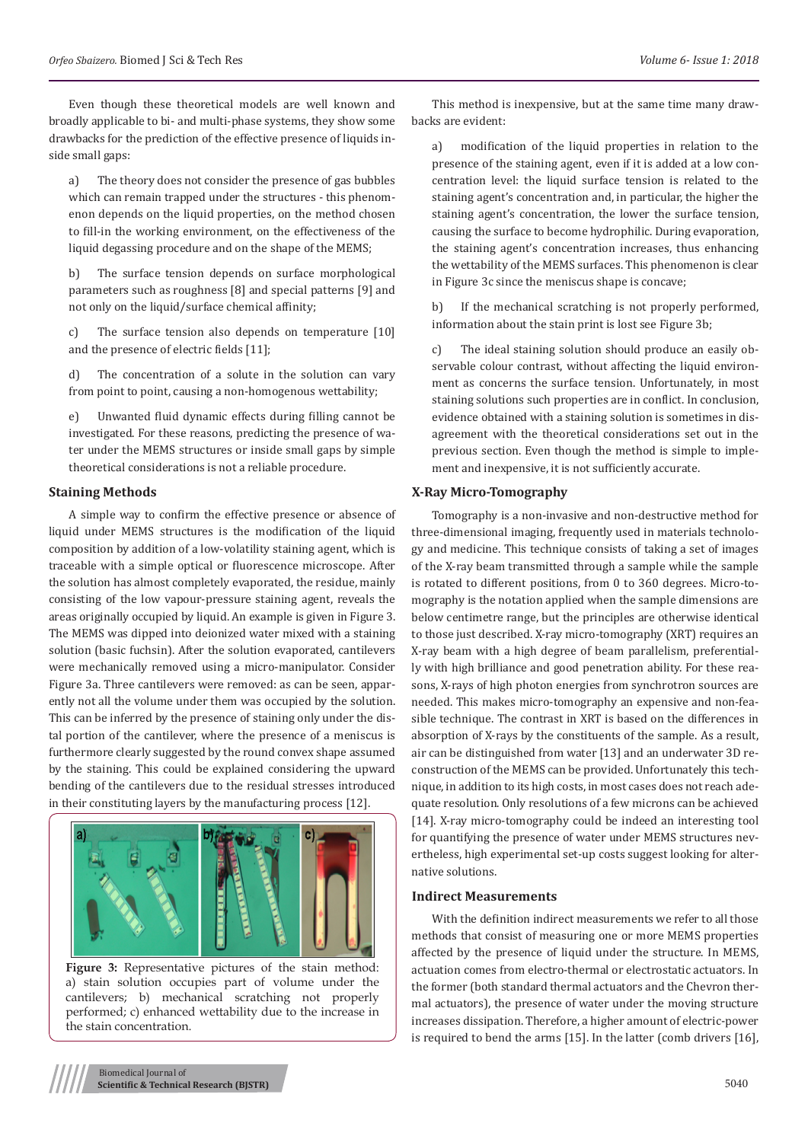Even though these theoretical models are well known and broadly applicable to bi- and multi-phase systems, they show some drawbacks for the prediction of the effective presence of liquids inside small gaps:

a) The theory does not consider the presence of gas bubbles which can remain trapped under the structures - this phenomenon depends on the liquid properties, on the method chosen to fill-in the working environment, on the effectiveness of the liquid degassing procedure and on the shape of the MEMS;

The surface tension depends on surface morphological parameters such as roughness [8] and special patterns [9] and not only on the liquid/surface chemical affinity;

c) The surface tension also depends on temperature [10] and the presence of electric fields [11];

d) The concentration of a solute in the solution can vary from point to point, causing a non-homogenous wettability;

e) Unwanted fluid dynamic effects during filling cannot be investigated. For these reasons, predicting the presence of water under the MEMS structures or inside small gaps by simple theoretical considerations is not a reliable procedure.

## **Staining Methods**

A simple way to confirm the effective presence or absence of liquid under MEMS structures is the modification of the liquid composition by addition of a low-volatility staining agent, which is traceable with a simple optical or fluorescence microscope. After the solution has almost completely evaporated, the residue, mainly consisting of the low vapour-pressure staining agent, reveals the areas originally occupied by liquid. An example is given in Figure 3. The MEMS was dipped into deionized water mixed with a staining solution (basic fuchsin). After the solution evaporated, cantilevers were mechanically removed using a micro-manipulator. Consider Figure 3a. Three cantilevers were removed: as can be seen, apparently not all the volume under them was occupied by the solution. This can be inferred by the presence of staining only under the distal portion of the cantilever, where the presence of a meniscus is furthermore clearly suggested by the round convex shape assumed by the staining. This could be explained considering the upward bending of the cantilevers due to the residual stresses introduced in their constituting layers by the manufacturing process [12].



**Figure 3:** Representative pictures of the stain method: a) stain solution occupies part of volume under the cantilevers; b) mechanical scratching not properly performed; c) enhanced wettability due to the increase in the stain concentration.

This method is inexpensive, but at the same time many drawbacks are evident:

a) modification of the liquid properties in relation to the presence of the staining agent, even if it is added at a low concentration level: the liquid surface tension is related to the staining agent's concentration and, in particular, the higher the staining agent's concentration, the lower the surface tension, causing the surface to become hydrophilic. During evaporation, the staining agent's concentration increases, thus enhancing the wettability of the MEMS surfaces. This phenomenon is clear in Figure 3c since the meniscus shape is concave;

b) If the mechanical scratching is not properly performed, information about the stain print is lost see Figure 3b;

c) The ideal staining solution should produce an easily observable colour contrast, without affecting the liquid environment as concerns the surface tension. Unfortunately, in most staining solutions such properties are in conflict. In conclusion, evidence obtained with a staining solution is sometimes in disagreement with the theoretical considerations set out in the previous section. Even though the method is simple to implement and inexpensive, it is not sufficiently accurate.

#### **X-Ray Micro-Tomography**

Tomography is a non-invasive and non-destructive method for three-dimensional imaging, frequently used in materials technology and medicine. This technique consists of taking a set of images of the X-ray beam transmitted through a sample while the sample is rotated to different positions, from 0 to 360 degrees. Micro-tomography is the notation applied when the sample dimensions are below centimetre range, but the principles are otherwise identical to those just described. X-ray micro-tomography (XRT) requires an X-ray beam with a high degree of beam parallelism, preferentially with high brilliance and good penetration ability. For these reasons, X-rays of high photon energies from synchrotron sources are needed. This makes micro-tomography an expensive and non-feasible technique. The contrast in XRT is based on the differences in absorption of X-rays by the constituents of the sample. As a result, air can be distinguished from water [13] and an underwater 3D reconstruction of the MEMS can be provided. Unfortunately this technique, in addition to its high costs, in most cases does not reach adequate resolution. Only resolutions of a few microns can be achieved [14]. X-ray micro-tomography could be indeed an interesting tool for quantifying the presence of water under MEMS structures nevertheless, high experimental set-up costs suggest looking for alternative solutions.

## **Indirect Measurements**

With the definition indirect measurements we refer to all those methods that consist of measuring one or more MEMS properties affected by the presence of liquid under the structure. In MEMS, actuation comes from electro-thermal or electrostatic actuators. In the former (both standard thermal actuators and the Chevron thermal actuators), the presence of water under the moving structure increases dissipation. Therefore, a higher amount of electric-power is required to bend the arms [15]. In the latter (comb drivers [16],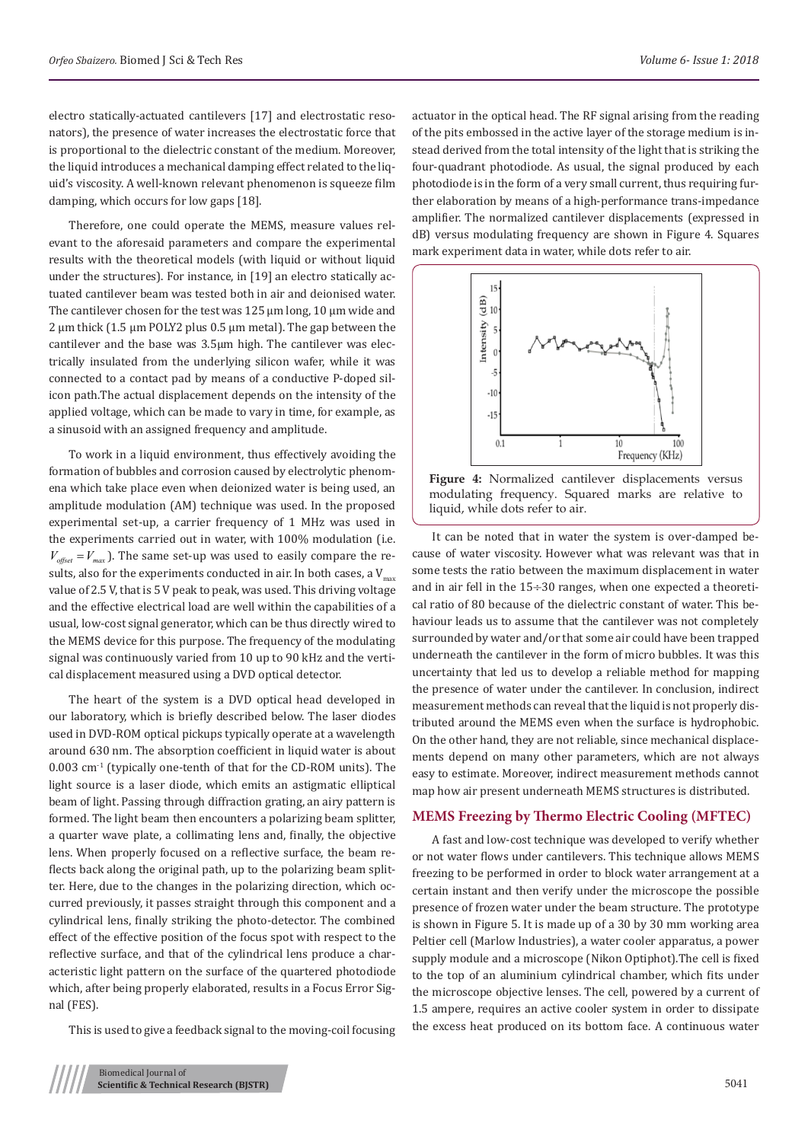electro statically-actuated cantilevers [17] and electrostatic resonators), the presence of water increases the electrostatic force that is proportional to the dielectric constant of the medium. Moreover, the liquid introduces a mechanical damping effect related to the liquid's viscosity. A well-known relevant phenomenon is squeeze film damping, which occurs for low gaps [18].

Therefore, one could operate the MEMS, measure values relevant to the aforesaid parameters and compare the experimental results with the theoretical models (with liquid or without liquid under the structures). For instance, in [19] an electro statically actuated cantilever beam was tested both in air and deionised water. The cantilever chosen for the test was 125 μm long, 10 μm wide and 2 μm thick (1.5 μm POLY2 plus 0.5 μm metal). The gap between the cantilever and the base was 3.5μm high. The cantilever was electrically insulated from the underlying silicon wafer, while it was connected to a contact pad by means of a conductive P-doped silicon path.The actual displacement depends on the intensity of the applied voltage, which can be made to vary in time, for example, as a sinusoid with an assigned frequency and amplitude.

To work in a liquid environment, thus effectively avoiding the formation of bubbles and corrosion caused by electrolytic phenomena which take place even when deionized water is being used, an amplitude modulation (AM) technique was used. In the proposed experimental set-up, a carrier frequency of 1 MHz was used in the experiments carried out in water, with 100% modulation (i.e.  $V_{\text{offset}} = V_{\text{max}}$ ). The same set-up was used to easily compare the results, also for the experiments conducted in air. In both cases, a  $V_{\text{max}}$ value of 2.5 V, that is 5 V peak to peak, was used. This driving voltage and the effective electrical load are well within the capabilities of a usual, low-cost signal generator, which can be thus directly wired to the MEMS device for this purpose. The frequency of the modulating signal was continuously varied from 10 up to 90 kHz and the vertical displacement measured using a DVD optical detector.

The heart of the system is a DVD optical head developed in our laboratory, which is briefly described below. The laser diodes used in DVD-ROM optical pickups typically operate at a wavelength around 630 nm. The absorption coefficient in liquid water is about  $0.003$  cm<sup>-1</sup> (typically one-tenth of that for the CD-ROM units). The light source is a laser diode, which emits an astigmatic elliptical beam of light. Passing through diffraction grating, an airy pattern is formed. The light beam then encounters a polarizing beam splitter, a quarter wave plate, a collimating lens and, finally, the objective lens. When properly focused on a reflective surface, the beam reflects back along the original path, up to the polarizing beam splitter. Here, due to the changes in the polarizing direction, which occurred previously, it passes straight through this component and a cylindrical lens, finally striking the photo-detector. The combined effect of the effective position of the focus spot with respect to the reflective surface, and that of the cylindrical lens produce a characteristic light pattern on the surface of the quartered photodiode which, after being properly elaborated, results in a Focus Error Signal (FES).

This is used to give a feedback signal to the moving-coil focusing

actuator in the optical head. The RF signal arising from the reading of the pits embossed in the active layer of the storage medium is instead derived from the total intensity of the light that is striking the four-quadrant photodiode. As usual, the signal produced by each photodiode is in the form of a very small current, thus requiring further elaboration by means of a high-performance trans-impedance amplifier. The normalized cantilever displacements (expressed in dB) versus modulating frequency are shown in Figure 4. Squares mark experiment data in water, while dots refer to air.



**Figure 4:** Normalized cantilever displacements versus modulating frequency. Squared marks are relative to liquid, while dots refer to air.

It can be noted that in water the system is over-damped because of water viscosity. However what was relevant was that in some tests the ratio between the maximum displacement in water and in air fell in the  $15\div 30$  ranges, when one expected a theoretical ratio of 80 because of the dielectric constant of water. This behaviour leads us to assume that the cantilever was not completely surrounded by water and/or that some air could have been trapped underneath the cantilever in the form of micro bubbles. It was this uncertainty that led us to develop a reliable method for mapping the presence of water under the cantilever. In conclusion, indirect measurement methods can reveal that the liquid is not properly distributed around the MEMS even when the surface is hydrophobic. On the other hand, they are not reliable, since mechanical displacements depend on many other parameters, which are not always easy to estimate. Moreover, indirect measurement methods cannot map how air present underneath MEMS structures is distributed.

### **MEMS Freezing by Thermo Electric Cooling (MFTEC)**

A fast and low-cost technique was developed to verify whether or not water flows under cantilevers. This technique allows MEMS freezing to be performed in order to block water arrangement at a certain instant and then verify under the microscope the possible presence of frozen water under the beam structure. The prototype is shown in Figure 5. It is made up of a 30 by 30 mm working area Peltier cell (Marlow Industries), a water cooler apparatus, a power supply module and a microscope (Nikon Optiphot).The cell is fixed to the top of an aluminium cylindrical chamber, which fits under the microscope objective lenses. The cell, powered by a current of 1.5 ampere, requires an active cooler system in order to dissipate the excess heat produced on its bottom face. A continuous water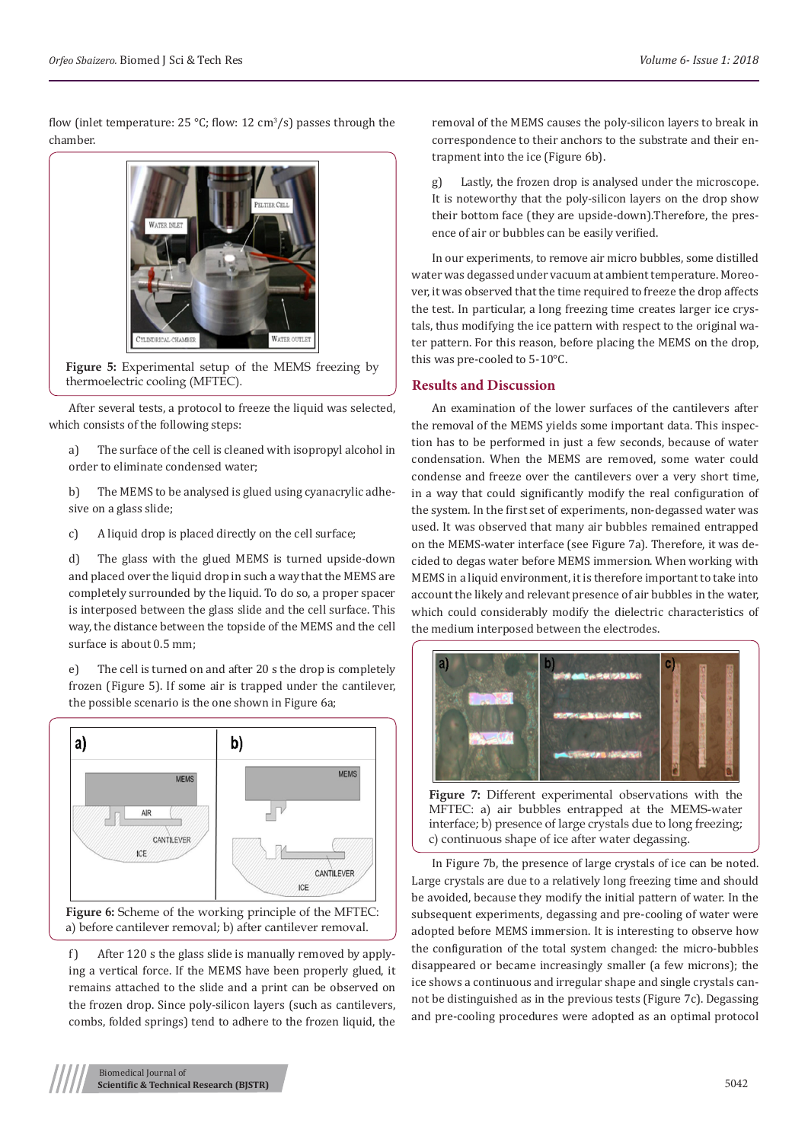flow (inlet temperature:  $25 \text{ °C}$ ; flow:  $12 \text{ cm}^3/\text{s}$ ) passes through the chamber.



**Figure 5:** Experimental setup of the MEMS freezing by thermoelectric cooling (MFTEC).

After several tests, a protocol to freeze the liquid was selected, which consists of the following steps:

a) The surface of the cell is cleaned with isopropyl alcohol in order to eliminate condensed water;

b) The MEMS to be analysed is glued using cyanacrylic adhesive on a glass slide;

c) A liquid drop is placed directly on the cell surface;

d) The glass with the glued MEMS is turned upside-down and placed over the liquid drop in such a way that the MEMS are completely surrounded by the liquid. To do so, a proper spacer is interposed between the glass slide and the cell surface. This way, the distance between the topside of the MEMS and the cell surface is about 0.5 mm;

e) The cell is turned on and after 20 s the drop is completely frozen (Figure 5). If some air is trapped under the cantilever, the possible scenario is the one shown in Figure 6a;



Figure 6: Scheme of the working principle of the MFTEC: a) before cantilever removal; b) after cantilever removal.

f) After 120 s the glass slide is manually removed by applying a vertical force. If the MEMS have been properly glued, it remains attached to the slide and a print can be observed on the frozen drop. Since poly-silicon layers (such as cantilevers, combs, folded springs) tend to adhere to the frozen liquid, the

removal of the MEMS causes the poly-silicon layers to break in correspondence to their anchors to the substrate and their entrapment into the ice (Figure 6b).

g) Lastly, the frozen drop is analysed under the microscope. It is noteworthy that the poly-silicon layers on the drop show their bottom face (they are upside-down).Therefore, the presence of air or bubbles can be easily verified.

In our experiments, to remove air micro bubbles, some distilled water was degassed under vacuum at ambient temperature. Moreover, it was observed that the time required to freeze the drop affects the test. In particular, a long freezing time creates larger ice crystals, thus modifying the ice pattern with respect to the original water pattern. For this reason, before placing the MEMS on the drop, this was pre-cooled to 5-10°C.

# **Results and Discussion**

An examination of the lower surfaces of the cantilevers after the removal of the MEMS yields some important data. This inspection has to be performed in just a few seconds, because of water condensation. When the MEMS are removed, some water could condense and freeze over the cantilevers over a very short time, in a way that could significantly modify the real configuration of the system. In the first set of experiments, non-degassed water was used. It was observed that many air bubbles remained entrapped on the MEMS-water interface (see Figure 7a). Therefore, it was decided to degas water before MEMS immersion. When working with MEMS in a liquid environment, it is therefore important to take into account the likely and relevant presence of air bubbles in the water, which could considerably modify the dielectric characteristics of the medium interposed between the electrodes.



**Figure 7:** Different experimental observations with the MFTEC: a) air bubbles entrapped at the MEMS-water interface; b) presence of large crystals due to long freezing; c) continuous shape of ice after water degassing.

In Figure 7b, the presence of large crystals of ice can be noted. Large crystals are due to a relatively long freezing time and should be avoided, because they modify the initial pattern of water. In the subsequent experiments, degassing and pre-cooling of water were adopted before MEMS immersion. It is interesting to observe how the configuration of the total system changed: the micro-bubbles disappeared or became increasingly smaller (a few microns); the ice shows a continuous and irregular shape and single crystals cannot be distinguished as in the previous tests (Figure 7c). Degassing and pre-cooling procedures were adopted as an optimal protocol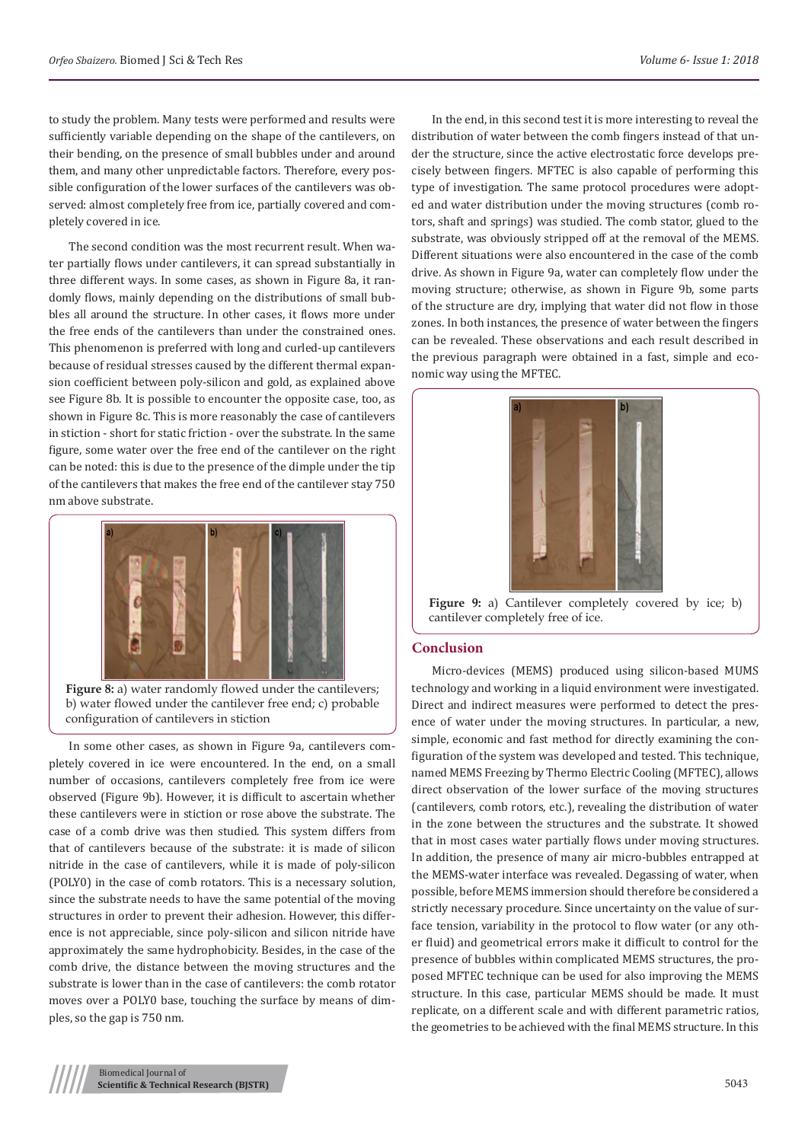to study the problem. Many tests were performed and results were sufficiently variable depending on the shape of the cantilevers, on their bending, on the presence of small bubbles under and around them, and many other unpredictable factors. Therefore, every possible configuration of the lower surfaces of the cantilevers was observed: almost completely free from ice, partially covered and completely covered in ice.

The second condition was the most recurrent result. When water partially flows under cantilevers, it can spread substantially in three different ways. In some cases, as shown in Figure 8a, it randomly flows, mainly depending on the distributions of small bubbles all around the structure. In other cases, it flows more under the free ends of the cantilevers than under the constrained ones. This phenomenon is preferred with long and curled-up cantilevers because of residual stresses caused by the different thermal expansion coefficient between poly-silicon and gold, as explained above see Figure 8b. It is possible to encounter the opposite case, too, as shown in Figure 8c. This is more reasonably the case of cantilevers in stiction - short for static friction - over the substrate. In the same figure, some water over the free end of the cantilever on the right can be noted: this is due to the presence of the dimple under the tip of the cantilevers that makes the free end of the cantilever stay 750 nm above substrate.



**Figure 8:** a) water randomly flowed under the cantilevers; b) water flowed under the cantilever free end; c) probable configuration of cantilevers in stiction

In some other cases, as shown in Figure 9a, cantilevers completely covered in ice were encountered. In the end, on a small number of occasions, cantilevers completely free from ice were observed (Figure 9b). However, it is difficult to ascertain whether these cantilevers were in stiction or rose above the substrate. The case of a comb drive was then studied. This system differs from that of cantilevers because of the substrate: it is made of silicon nitride in the case of cantilevers, while it is made of poly-silicon (POLY0) in the case of comb rotators. This is a necessary solution, since the substrate needs to have the same potential of the moving structures in order to prevent their adhesion. However, this difference is not appreciable, since poly-silicon and silicon nitride have approximately the same hydrophobicity. Besides, in the case of the comb drive, the distance between the moving structures and the substrate is lower than in the case of cantilevers: the comb rotator moves over a POLY0 base, touching the surface by means of dimples, so the gap is 750 nm.

In the end, in this second test it is more interesting to reveal the distribution of water between the comb fingers instead of that under the structure, since the active electrostatic force develops precisely between fingers. MFTEC is also capable of performing this type of investigation. The same protocol procedures were adopted and water distribution under the moving structures (comb rotors, shaft and springs) was studied. The comb stator, glued to the substrate, was obviously stripped off at the removal of the MEMS. Different situations were also encountered in the case of the comb drive. As shown in Figure 9a, water can completely flow under the moving structure; otherwise, as shown in Figure 9b, some parts of the structure are dry, implying that water did not flow in those zones. In both instances, the presence of water between the fingers can be revealed. These observations and each result described in the previous paragraph were obtained in a fast, simple and economic way using the MFTEC.



Figure 9: a) Cantilever completely covered by ice; b) cantilever completely free of ice.

## **Conclusion**

Micro-devices (MEMS) produced using silicon-based MUMS technology and working in a liquid environment were investigated. Direct and indirect measures were performed to detect the presence of water under the moving structures. In particular, a new, simple, economic and fast method for directly examining the configuration of the system was developed and tested. This technique, named MEMS Freezing by Thermo Electric Cooling (MFTEC), allows direct observation of the lower surface of the moving structures (cantilevers, comb rotors, etc.), revealing the distribution of water in the zone between the structures and the substrate. It showed that in most cases water partially flows under moving structures. In addition, the presence of many air micro-bubbles entrapped at the MEMS-water interface was revealed. Degassing of water, when possible, before MEMS immersion should therefore be considered a strictly necessary procedure. Since uncertainty on the value of surface tension, variability in the protocol to flow water (or any other fluid) and geometrical errors make it difficult to control for the presence of bubbles within complicated MEMS structures, the proposed MFTEC technique can be used for also improving the MEMS structure. In this case, particular MEMS should be made. It must replicate, on a different scale and with different parametric ratios, the geometries to be achieved with the final MEMS structure. In this